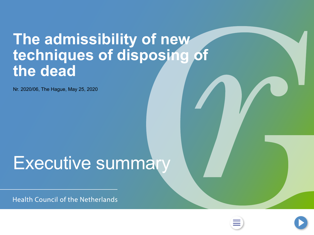## <span id="page-0-0"></span>**The admissibility of new techniques of disposing of the dead**

Nr. 2020/06, The Hague, May 25, 2020

# Executive summary

**Health Council of the Netherlands** 



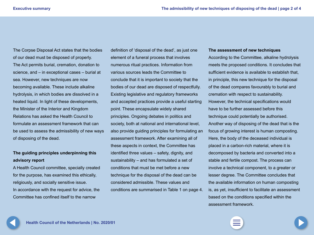<span id="page-1-0"></span>The Corpse Disposal Act states that the bodies of our dead must be disposed of properly. The Act permits burial, cremation, donation to science, and – in exceptional cases – burial at sea. However, new techniques are now becoming available. These include alkaline hydrolysis, in which bodies are dissolved in a heated liquid. In light of these developments, the Minister of the Interior and Kingdom Relations has asked the Health Council to formulate an assessment framework that can be used to assess the admissibility of new ways of disposing of the dead.

#### **The guiding principles underpinning this advisory report**

A Health Council committee, specially created for the purpose, has examined this ethically, religiously, and socially sensitive issue. In accordance with the request for advice, the Committee has confined itself to the narrow

definition of 'disposal of the dead', as just one element of a funeral process that involves numerous ritual practices. Information from various sources leads the Committee to conclude that it is important to society that the bodies of our dead are disposed of respectfully. Existing legislative and regulatory frameworks and accepted practices provide a useful starting point. These encapsulate widely shared principles. Ongoing debates in politics and society, both at national and international level, also provide guiding principles for formulating an assessment framework. After examining all of these aspects in context, the Committee has identified three values – safety, dignity, and sustainability – and has formulated a set of conditions that must be met before a new technique for the disposal of the dead can be considered admissible. These values and conditions are summarised in Table 1 on page 4.

#### **The assessment of new techniques**

According to the Committee, alkaline hydrolysis meets the proposed conditions. It concludes that sufficient evidence is available to establish that, in principle, this new technique for the disposal of the dead compares favourably to burial and cremation with respect to sustainability. However, the technical specifications would have to be further assessed before this technique could potentially be authorised. Another way of disposing of the dead that is the focus of growing interest is human composting. Here, the body of the deceased individual is placed in a carbon-rich material, where it is decomposed by bacteria and converted into a stable and fertile compost. The process can involve a technical component, to a greater or lesser degree. The Committee concludes that the available information on human composting is, as yet, insufficient to facilitate an assessment based on the conditions specified within the assessment framework.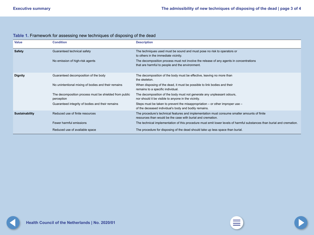<span id="page-2-0"></span>

| Table 1. Framework for assessing new techniques of disposing of the dead |  |
|--------------------------------------------------------------------------|--|
|--------------------------------------------------------------------------|--|

| <b>Value</b>          | <b>Condition</b>                                                     | <b>Description</b>                                                                                                                                          |
|-----------------------|----------------------------------------------------------------------|-------------------------------------------------------------------------------------------------------------------------------------------------------------|
| <b>Safety</b>         | Guaranteed technical safety                                          | The techniques used must be sound and must pose no risk to operators or<br>to others in the immediate vicinity.                                             |
|                       | No emission of high-risk agents                                      | The decomposition process must not involve the release of any agents in concentrations<br>that are harmful to people and the environment.                   |
| <b>Dignity</b>        | Guaranteed decomposition of the body                                 | The decomposition of the body must be effective, leaving no more than<br>the skeleton.                                                                      |
|                       | No unintentional mixing of bodies and their remains                  | When disposing of the dead, it must be possible to link bodies and their<br>remains to a specific individual.                                               |
|                       | The decomposition process must be shielded from public<br>perception | The decomposition of the body must not generate any unpleasant odours,<br>nor should it be visible to anyone in the vicinity.                               |
|                       | Guaranteed integrity of bodies and their remains                     | Steps must be taken to prevent the misappropriation $-$ or other improper use $-$<br>of the deceased individual's body and bodily remains.                  |
| <b>Sustainability</b> | Reduced use of finite resources                                      | The procedure's technical features and implementation must consume smaller amounts of finite<br>resources than would be the case with burial and cremation. |
|                       | Fewer harmful emissions                                              | The technical implementation of this procedure must emit lower levels of harmful substances than burial and cremation.                                      |
|                       | Reduced use of available space                                       | The procedure for disposing of the dead should take up less space than burial.                                                                              |